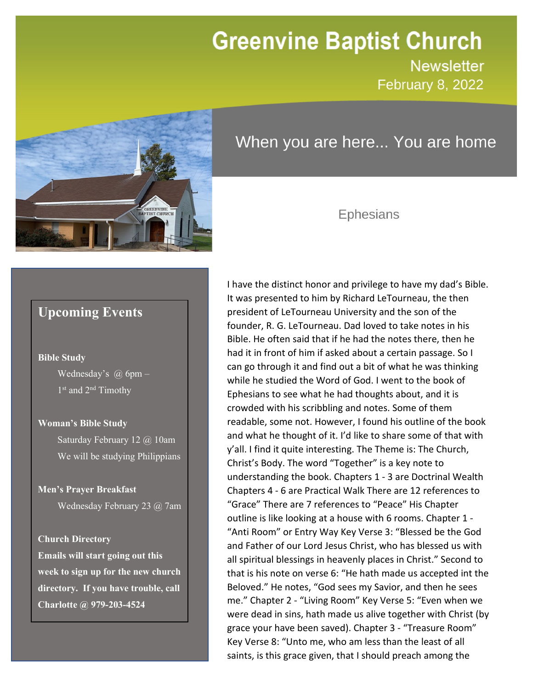# **Greenvine Baptist Church**

**Newsletter February 8, 2022** 

newsletter<br>Newsletter



## When you are here... You are home

## Ephesians

I have the distinct honor and privilege to have my dad's Bible.

## **Upcoming Events**

#### **Bible Study**

Wednesday's  $\omega$  6pm – 1<sup>st</sup> and 2<sup>nd</sup> Timothy

#### **Woman's Bible Study**

Saturday February 12 @ 10am We will be studying Philippians

#### **Men's Prayer Breakfast**

Wednesday February 23 @ 7am

#### **Church Directory**

**Emails will start going out this week to sign up for the new church directory. If you have trouble, call Charlotte @ 979-203-4524**

It was presented to him by Richard LeTourneau, the then president of LeTourneau University and the son of the founder, R. G. LeTourneau. Dad loved to take notes in his Bible. He often said that if he had the notes there, then he had it in front of him if asked about a certain passage. So I can go through it and find out a bit of what he was thinking while he studied the Word of God. I went to the book of Ephesians to see what he had thoughts about, and it is crowded with his scribbling and notes. Some of them readable, some not. However, I found his outline of the book and what he thought of it. I'd like to share some of that with y'all. I find it quite interesting. The Theme is: The Church, Christ's Body. The word "Together" is a key note to understanding the book. Chapters 1 - 3 are Doctrinal Wealth Chapters 4 - 6 are Practical Walk There are 12 references to "Grace" There are 7 references to "Peace" His Chapter outline is like looking at a house with 6 rooms. Chapter 1 - "Anti Room" or Entry Way Key Verse 3: "Blessed be the God and Father of our Lord Jesus Christ, who has blessed us with all spiritual blessings in heavenly places in Christ." Second to that is his note on verse 6: "He hath made us accepted int the Beloved." He notes, "God sees my Savior, and then he sees me." Chapter 2 - "Living Room" Key Verse 5: "Even when we were dead in sins, hath made us alive together with Christ (by grace your have been saved). Chapter 3 - "Treasure Room" Key Verse 8: "Unto me, who am less than the least of all saints, is this grace given, that I should preach among the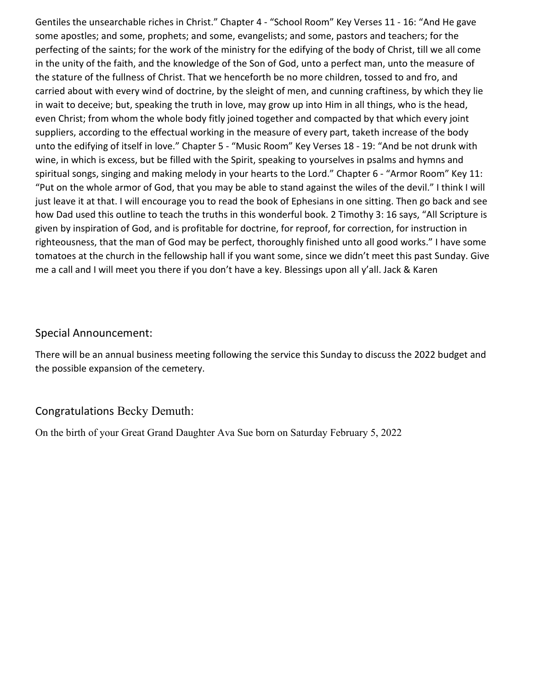Gentiles the unsearchable riches in Christ." Chapter 4 - "School Room" Key Verses 11 - 16: "And He gave some apostles; and some, prophets; and some, evangelists; and some, pastors and teachers; for the perfecting of the saints; for the work of the ministry for the edifying of the body of Christ, till we all come in the unity of the faith, and the knowledge of the Son of God, unto a perfect man, unto the measure of the stature of the fullness of Christ. That we henceforth be no more children, tossed to and fro, and carried about with every wind of doctrine, by the sleight of men, and cunning craftiness, by which they lie in wait to deceive; but, speaking the truth in love, may grow up into Him in all things, who is the head, even Christ; from whom the whole body fitly joined together and compacted by that which every joint suppliers, according to the effectual working in the measure of every part, taketh increase of the body unto the edifying of itself in love." Chapter 5 - "Music Room" Key Verses 18 - 19: "And be not drunk with wine, in which is excess, but be filled with the Spirit, speaking to yourselves in psalms and hymns and spiritual songs, singing and making melody in your hearts to the Lord." Chapter 6 - "Armor Room" Key 11: "Put on the whole armor of God, that you may be able to stand against the wiles of the devil." I think I will just leave it at that. I will encourage you to read the book of Ephesians in one sitting. Then go back and see how Dad used this outline to teach the truths in this wonderful book. 2 Timothy 3: 16 says, "All Scripture is given by inspiration of God, and is profitable for doctrine, for reproof, for correction, for instruction in righteousness, that the man of God may be perfect, thoroughly finished unto all good works." I have some tomatoes at the church in the fellowship hall if you want some, since we didn't meet this past Sunday. Give me a call and I will meet you there if you don't have a key. Blessings upon all y'all. Jack & Karen

### Special Announcement:

There will be an annual business meeting following the service this Sunday to discuss the 2022 budget and the possible expansion of the cemetery.

### Congratulations Becky Demuth:

On the birth of your Great Grand Daughter Ava Sue born on Saturday February 5, 2022